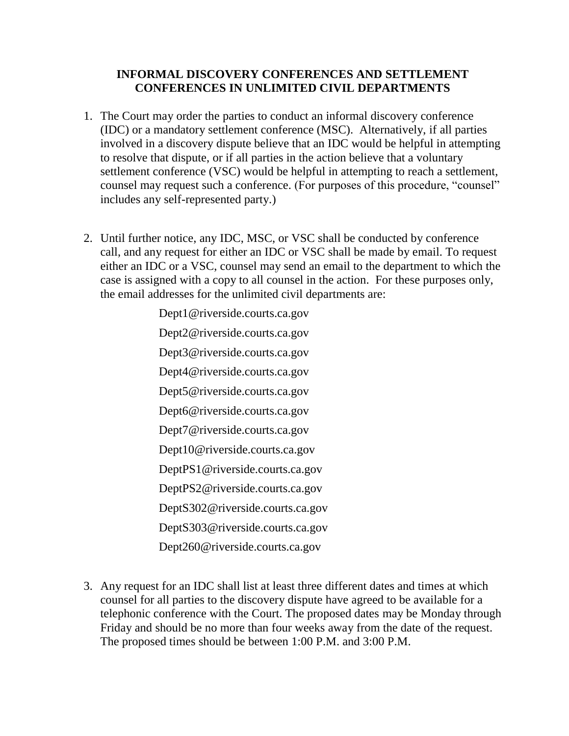## **INFORMAL DISCOVERY CONFERENCES AND SETTLEMENT CONFERENCES IN UNLIMITED CIVIL DEPARTMENTS**

- 1. The Court may order the parties to conduct an informal discovery conference (IDC) or a mandatory settlement conference (MSC). Alternatively, if all parties involved in a discovery dispute believe that an IDC would be helpful in attempting to resolve that dispute, or if all parties in the action believe that a voluntary settlement conference (VSC) would be helpful in attempting to reach a settlement, counsel may request such a conference. (For purposes of this procedure, "counsel" includes any self-represented party.)
- 2. Until further notice, any IDC, MSC, or VSC shall be conducted by conference call, and any request for either an IDC or VSC shall be made by email. To request either an IDC or a VSC, counsel may send an email to the department to which the case is assigned with a copy to all counsel in the action. For these purposes only, the email addresses for the unlimited civil departments are:

Dept1@riverside.courts.ca.gov Dept2@riverside.courts.ca.gov Dept3@riverside.courts.ca.gov Dept4@riverside.courts.ca.gov Dept5@riverside.courts.ca.gov Dept6@riverside.courts.ca.gov Dept7@riverside.courts.ca.gov Dept10@riverside.courts.ca.gov DeptPS1@riverside.courts.ca.gov DeptPS2@riverside.courts.ca.gov DeptS302@riverside.courts.ca.gov DeptS303@riverside.courts.ca.gov Dept260@riverside.courts.ca.gov

3. Any request for an IDC shall list at least three different dates and times at which counsel for all parties to the discovery dispute have agreed to be available for a telephonic conference with the Court. The proposed dates may be Monday through Friday and should be no more than four weeks away from the date of the request. The proposed times should be between 1:00 P.M. and 3:00 P.M.